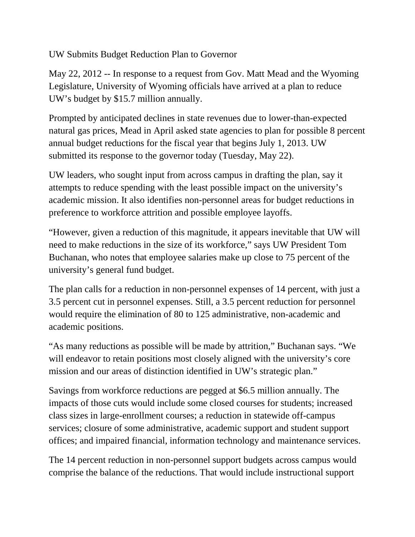UW Submits Budget Reduction Plan to Governor

May 22, 2012 -- In response to a request from Gov. Matt Mead and the Wyoming Legislature, University of Wyoming officials have arrived at a plan to reduce UW's budget by \$15.7 million annually.

Prompted by anticipated declines in state revenues due to lower-than-expected natural gas prices, Mead in April asked state agencies to plan for possible 8 percent annual budget reductions for the fiscal year that begins July 1, 2013. UW submitted its response to the governor today (Tuesday, May 22).

UW leaders, who sought input from across campus in drafting the plan, say it attempts to reduce spending with the least possible impact on the university's academic mission. It also identifies non-personnel areas for budget reductions in preference to workforce attrition and possible employee layoffs.

"However, given a reduction of this magnitude, it appears inevitable that UW will need to make reductions in the size of its workforce," says UW President Tom Buchanan, who notes that employee salaries make up close to 75 percent of the university's general fund budget.

The plan calls for a reduction in non-personnel expenses of 14 percent, with just a 3.5 percent cut in personnel expenses. Still, a 3.5 percent reduction for personnel would require the elimination of 80 to 125 administrative, non-academic and academic positions.

"As many reductions as possible will be made by attrition," Buchanan says. "We will endeavor to retain positions most closely aligned with the university's core mission and our areas of distinction identified in UW's strategic plan."

Savings from workforce reductions are pegged at \$6.5 million annually. The impacts of those cuts would include some closed courses for students; increased class sizes in large-enrollment courses; a reduction in statewide off-campus services; closure of some administrative, academic support and student support offices; and impaired financial, information technology and maintenance services.

The 14 percent reduction in non-personnel support budgets across campus would comprise the balance of the reductions. That would include instructional support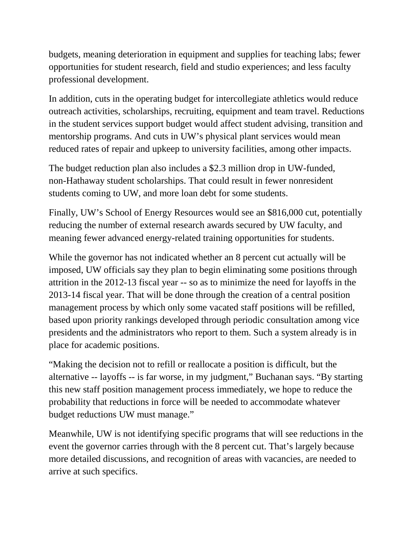budgets, meaning deterioration in equipment and supplies for teaching labs; fewer opportunities for student research, field and studio experiences; and less faculty professional development.

In addition, cuts in the operating budget for intercollegiate athletics would reduce outreach activities, scholarships, recruiting, equipment and team travel. Reductions in the student services support budget would affect student advising, transition and mentorship programs. And cuts in UW's physical plant services would mean reduced rates of repair and upkeep to university facilities, among other impacts.

The budget reduction plan also includes a \$2.3 million drop in UW-funded, non-Hathaway student scholarships. That could result in fewer nonresident students coming to UW, and more loan debt for some students.

Finally, UW's School of Energy Resources would see an \$816,000 cut, potentially reducing the number of external research awards secured by UW faculty, and meaning fewer advanced energy-related training opportunities for students.

While the governor has not indicated whether an 8 percent cut actually will be imposed, UW officials say they plan to begin eliminating some positions through attrition in the 2012-13 fiscal year -- so as to minimize the need for layoffs in the 2013-14 fiscal year. That will be done through the creation of a central position management process by which only some vacated staff positions will be refilled, based upon priority rankings developed through periodic consultation among vice presidents and the administrators who report to them. Such a system already is in place for academic positions.

"Making the decision not to refill or reallocate a position is difficult, but the alternative -- layoffs -- is far worse, in my judgment," Buchanan says. "By starting this new staff position management process immediately, we hope to reduce the probability that reductions in force will be needed to accommodate whatever budget reductions UW must manage."

Meanwhile, UW is not identifying specific programs that will see reductions in the event the governor carries through with the 8 percent cut. That's largely because more detailed discussions, and recognition of areas with vacancies, are needed to arrive at such specifics.